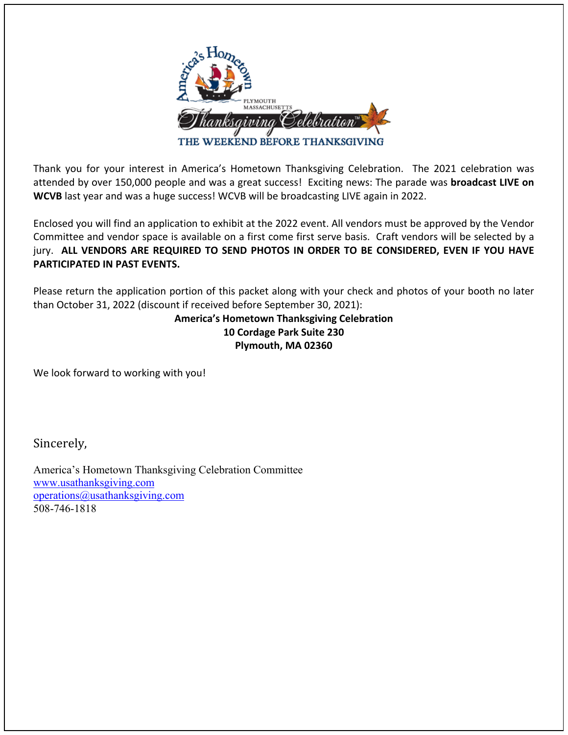

Thank you for your interest in America's Hometown Thanksgiving Celebration. The 2021 celebration was attended by over 150,000 people and was a great success! Exciting news: The parade was **broadcast LIVE on WCVB** last year and was a huge success! WCVB will be broadcasting LIVE again in 2022.

Enclosed you will find an application to exhibit at the 2022 event. All vendors must be approved by the Vendor Committee and vendor space is available on a first come first serve basis. Craft vendors will be selected by a jury. **ALL VENDORS ARE REQUIRED TO SEND PHOTOS IN ORDER TO BE CONSIDERED, EVEN IF YOU HAVE PARTICIPATED IN PAST EVENTS.** 

Please return the application portion of this packet along with your check and photos of your booth no later than October 31, 2022 (discount if received before September 30, 2021):

# **America's Hometown Thanksgiving Celebration 10 Cordage Park Suite 230 Plymouth, MA 02360**

We look forward to working with you!

Sincerely, 

America's Hometown Thanksgiving Celebration Committee www.usathanksgiving.com operations@usathanksgiving.com 508-746-1818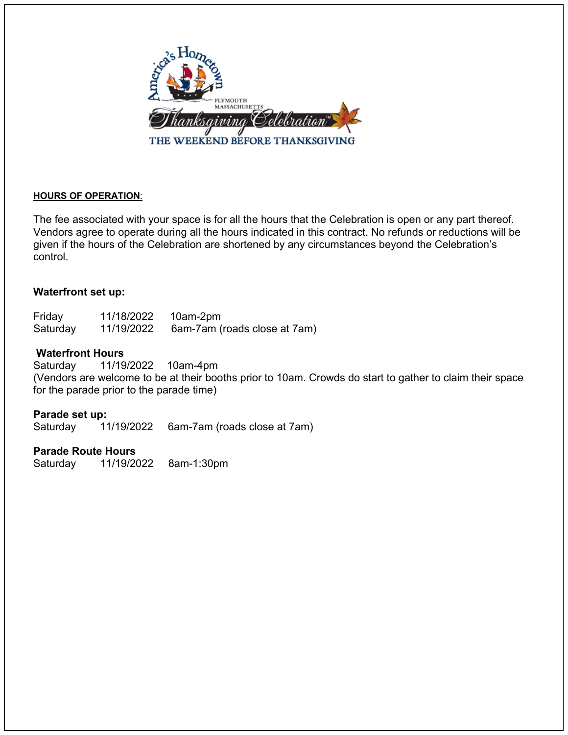

## **HOURS OF OPERATION**:

The fee associated with your space is for all the hours that the Celebration is open or any part thereof. Vendors agree to operate during all the hours indicated in this contract. No refunds or reductions will be given if the hours of the Celebration are shortened by any circumstances beyond the Celebration's control.

## **Waterfront set up:**

| Friday   | 11/18/2022 | 10am-2pm                     |
|----------|------------|------------------------------|
| Saturday | 11/19/2022 | 6am-7am (roads close at 7am) |

## **Waterfront Hours**

Saturday 11/19/2022 10am-4pm (Vendors are welcome to be at their booths prior to 10am. Crowds do start to gather to claim their space for the parade prior to the parade time)

### **Parade set up:**

Saturday 11/19/2022 6am-7am (roads close at 7am)

## **Parade Route Hours**

Saturday 11/19/2022 8am-1:30pm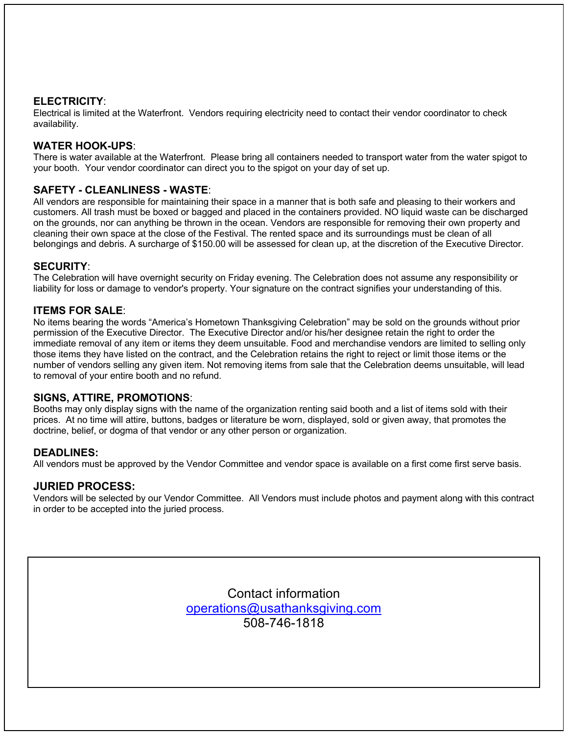## **ELECTRICITY**:

Electrical is limited at the Waterfront. Vendors requiring electricity need to contact their vendor coordinator to check availability.

## **WATER HOOK-UPS**:

There is water available at the Waterfront. Please bring all containers needed to transport water from the water spigot to your booth. Your vendor coordinator can direct you to the spigot on your day of set up.

### **SAFETY - CLEANLINESS - WASTE**:

All vendors are responsible for maintaining their space in a manner that is both safe and pleasing to their workers and customers. All trash must be boxed or bagged and placed in the containers provided. NO liquid waste can be discharged on the grounds, nor can anything be thrown in the ocean. Vendors are responsible for removing their own property and cleaning their own space at the close of the Festival. The rented space and its surroundings must be clean of all belongings and debris. A surcharge of \$150.00 will be assessed for clean up, at the discretion of the Executive Director.

### **SECURITY**:

The Celebration will have overnight security on Friday evening. The Celebration does not assume any responsibility or liability for loss or damage to vendor's property. Your signature on the contract signifies your understanding of this.

## **ITEMS FOR SALE**:

No items bearing the words "America's Hometown Thanksgiving Celebration" may be sold on the grounds without prior permission of the Executive Director. The Executive Director and/or his/her designee retain the right to order the immediate removal of any item or items they deem unsuitable. Food and merchandise vendors are limited to selling only those items they have listed on the contract, and the Celebration retains the right to reject or limit those items or the number of vendors selling any given item. Not removing items from sale that the Celebration deems unsuitable, will lead to removal of your entire booth and no refund.

### **SIGNS, ATTIRE, PROMOTIONS**:

Booths may only display signs with the name of the organization renting said booth and a list of items sold with their prices. At no time will attire, buttons, badges or literature be worn, displayed, sold or given away, that promotes the doctrine, belief, or dogma of that vendor or any other person or organization.

### **DEADLINES:**

All vendors must be approved by the Vendor Committee and vendor space is available on a first come first serve basis.

### **JURIED PROCESS:**

Vendors will be selected by our Vendor Committee. All Vendors must include photos and payment along with this contract in order to be accepted into the juried process.

> Contact information operations@usathanksgiving.com 508-746-1818